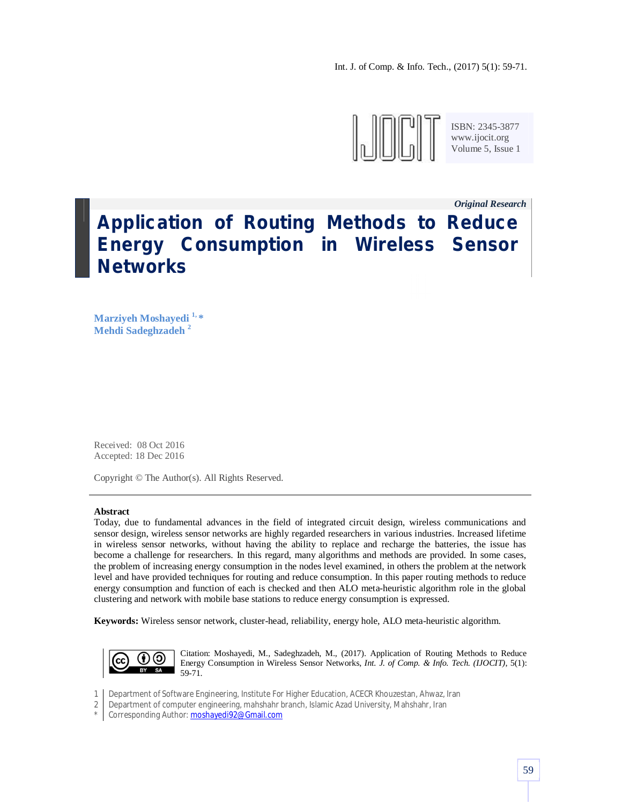

ISBN: 2345-3877<br>www.ijocit.org<br>Volume 5, Issue 1 www.ijocit.org Volume 5, Issue 1

*Original Research \_*

# **Application of Routing Methods to Reduce Energy Consumption in Wireless Sensor Networks**

**Marziyeh Moshayedi 1, \* Mehdi Sadeghzadeh <sup>2</sup>**

Received: 08 Oct 2016 Accepted: 18 Dec 2016

Copyright © The Author(s). All Rights Reserved.

#### **Abstract**

Today, due to fundamental advances in the field of integrated circuit design, wireless communications and sensor design, wireless sensor networks are highly regarded researchers in various industries. Increased lifetime in wireless sensor networks, without having the ability to replace and recharge the batteries, the issue has become a challenge for researchers. In this regard, many algorithms and methods are provided. In some cases, the problem of increasing energy consumption in the nodes level examined, in others the problem at the network level and have provided techniques for routing and reduce consumption. In this paper routing methods to reduce energy consumption and function of each is checked and then ALO meta-heuristic algorithm role in the global clustering and network with mobile base stations to reduce energy consumption is expressed.

**Keywords:** Wireless sensor network, cluster-head, reliability, energy hole, ALO meta-heuristic algorithm.



Citation: Moshayedi, M., Sadeghzadeh, M., (2017). Application of Routing Methods to Reduce Energy Consumption in Wireless Sensor Networks, *Int. J. of Comp. & Info. Tech. (IJOCIT)*, 5(1): 59-71.

- 1 Department of Software Engineering, Institute For Higher Education, ACECR Khouzestan, Ahwaz, Iran
- 2 Department of computer engineering, mahshahr branch, Islamic Azad University, Mahshahr, Iran
- \* Corresponding Author: **moshayedi92@Gmail.com**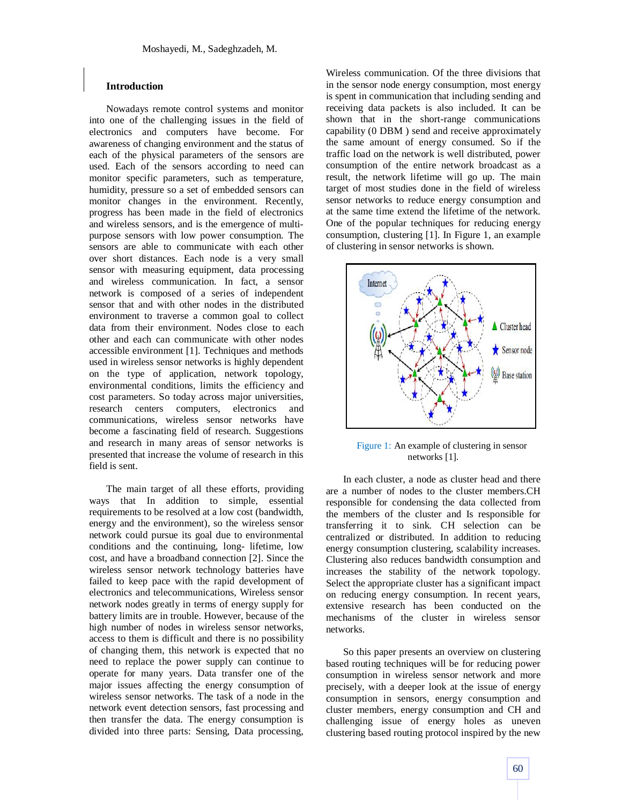# **Introduction**

Nowadays remote control systems and monitor into one of the challenging issues in the field of electronics and computers have become. For awareness of changing environment and the status of each of the physical parameters of the sensors are used. Each of the sensors according to need can monitor specific parameters, such as temperature, humidity, pressure so a set of embedded sensors can monitor changes in the environment. Recently, progress has been made in the field of electronics and wireless sensors, and is the emergence of multipurpose sensors with low power consumption. The sensors are able to communicate with each other over short distances. Each node is a very small sensor with measuring equipment, data processing and wireless communication. In fact, a sensor network is composed of a series of independent sensor that and with other nodes in the distributed environment to traverse a common goal to collect data from their environment. Nodes close to each other and each can communicate with other nodes accessible environment [1]. Techniques and methods used in wireless sensor networks is highly dependent on the type of application, network topology, environmental conditions, limits the efficiency and cost parameters. So today across major universities, research centers computers, electronics and communications, wireless sensor networks have become a fascinating field of research. Suggestions and research in many areas of sensor networks is presented that increase the volume of research in this field is sent.

The main target of all these efforts, providing ways that In addition to simple, essential requirements to be resolved at a low cost (bandwidth, energy and the environment), so the wireless sensor network could pursue its goal due to environmental conditions and the continuing, long- lifetime, low cost, and have a broadband connection [2]. Since the wireless sensor network technology batteries have failed to keep pace with the rapid development of electronics and telecommunications, Wireless sensor network nodes greatly in terms of energy supply for battery limits are in trouble. However, because of the high number of nodes in wireless sensor networks, access to them is difficult and there is no possibility of changing them, this network is expected that no need to replace the power supply can continue to operate for many years. Data transfer one of the major issues affecting the energy consumption of wireless sensor networks. The task of a node in the network event detection sensors, fast processing and then transfer the data. The energy consumption is divided into three parts: Sensing, Data processing,

Wireless communication. Of the three divisions that in the sensor node energy consumption, most energy is spent in communication that including sending and receiving data packets is also included. It can be shown that in the short-range communications capability (0 DBM ) send and receive approximately the same amount of energy consumed. So if the traffic load on the network is well distributed, power consumption of the entire network broadcast as a result, the network lifetime will go up. The main target of most studies done in the field of wireless sensor networks to reduce energy consumption and at the same time extend the lifetime of the network. One of the popular techniques for reducing energy consumption, clustering [1]. In Figure 1, an example of clustering in sensor networks is shown.



Figure 1: An example of clustering in sensor networks [1].

In each cluster, a node as cluster head and there are a number of nodes to the cluster members.CH responsible for condensing the data collected from the members of the cluster and Is responsible for transferring it to sink. CH selection can be centralized or distributed. In addition to reducing energy consumption clustering, scalability increases. Clustering also reduces bandwidth consumption and increases the stability of the network topology. Select the appropriate cluster has a significant impact on reducing energy consumption. In recent years, extensive research has been conducted on the mechanisms of the cluster in wireless sensor networks.

So this paper presents an overview on clustering based routing techniques will be for reducing power consumption in wireless sensor network and more precisely, with a deeper look at the issue of energy consumption in sensors, energy consumption and cluster members, energy consumption and CH and challenging issue of energy holes as uneven clustering based routing protocol inspired by the new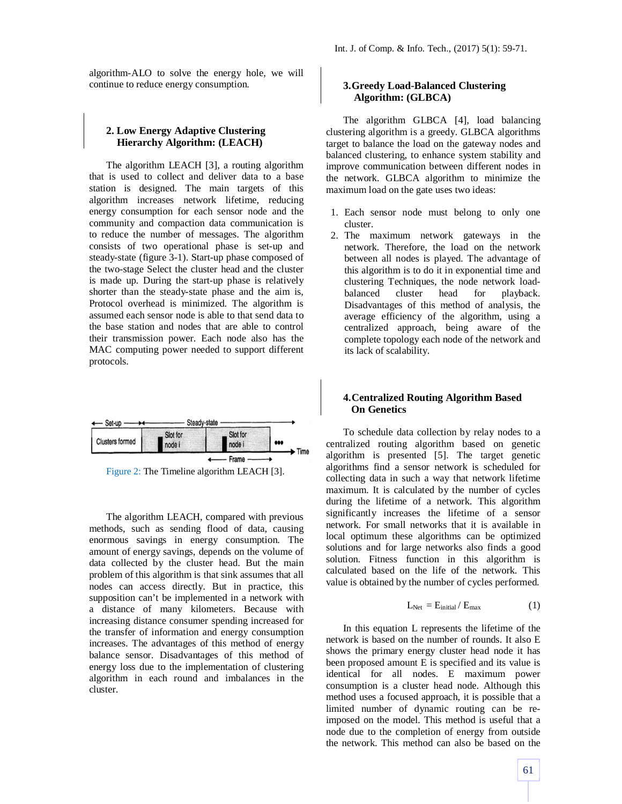algorithm-ALO to solve the energy hole, we will continue to reduce energy consumption.

# **2. Low Energy Adaptive Clustering Hierarchy Algorithm: (LEACH)**

The algorithm LEACH [3], a routing algorithm that is used to collect and deliver data to a base station is designed. The main targets of this algorithm increases network lifetime, reducing energy consumption for each sensor node and the community and compaction data communication is to reduce the number of messages. The algorithm consists of two operational phase is set-up and steady-state (figure 3-1). Start-up phase composed of the two-stage Select the cluster head and the cluster is made up. During the start-up phase is relatively shorter than the steady-state phase and the aim is, Protocol overhead is minimized. The algorithm is assumed each sensor node is able to that send data to the base station and nodes that are able to control their transmission power. Each node also has the MAC computing power needed to support different protocols.



The algorithm LEACH, compared with previous methods, such as sending flood of data, causing enormous savings in energy consumption. The amount of energy savings, depends on the volume of data collected by the cluster head. But the main problem of this algorithm is that sink assumes that all nodes can access directly. But in practice, this supposition can't be implemented in a network with a distance of many kilometers. Because with increasing distance consumer spending increased for the transfer of information and energy consumption increases. The advantages of this method of energy balance sensor. Disadvantages of this method of energy loss due to the implementation of clustering algorithm in each round and imbalances in the cluster.

# **3.Greedy Load-Balanced Clustering Algorithm: (GLBCA)**

The algorithm GLBCA [4], load balancing clustering algorithm is a greedy. GLBCA algorithms target to balance the load on the gateway nodes and balanced clustering, to enhance system stability and improve communication between different nodes in the network. GLBCA algorithm to minimize the maximum load on the gate uses two ideas:

- 1. Each sensor node must belong to only one cluster.
- 2. The maximum network gateways in the network. Therefore, the load on the network between all nodes is played. The advantage of this algorithm is to do it in exponential time and clustering Techniques, the node network loadbalanced cluster head for playback. Disadvantages of this method of analysis, the average efficiency of the algorithm, using a centralized approach, being aware of the complete topology each node of the network and its lack of scalability.

# **4.Centralized Routing Algorithm Based On Genetics**

To schedule data collection by relay nodes to a centralized routing algorithm based on genetic algorithm is presented [5]. The target genetic algorithms find a sensor network is scheduled for collecting data in such a way that network lifetime maximum. It is calculated by the number of cycles during the lifetime of a network. This algorithm significantly increases the lifetime of a sensor network. For small networks that it is available in local optimum these algorithms can be optimized solutions and for large networks also finds a good solution. Fitness function in this algorithm is calculated based on the life of the network. This value is obtained by the number of cycles performed.

$$
L_{\text{Net}} = E_{\text{initial}} / E_{\text{max}} \tag{1}
$$

In this equation L represents the lifetime of the network is based on the number of rounds. It also E shows the primary energy cluster head node it has been proposed amount E is specified and its value is identical for all nodes. E maximum power consumption is a cluster head node. Although this method uses a focused approach, it is possible that a limited number of dynamic routing can be reimposed on the model. This method is useful that a node due to the completion of energy from outside the network. This method can also be based on the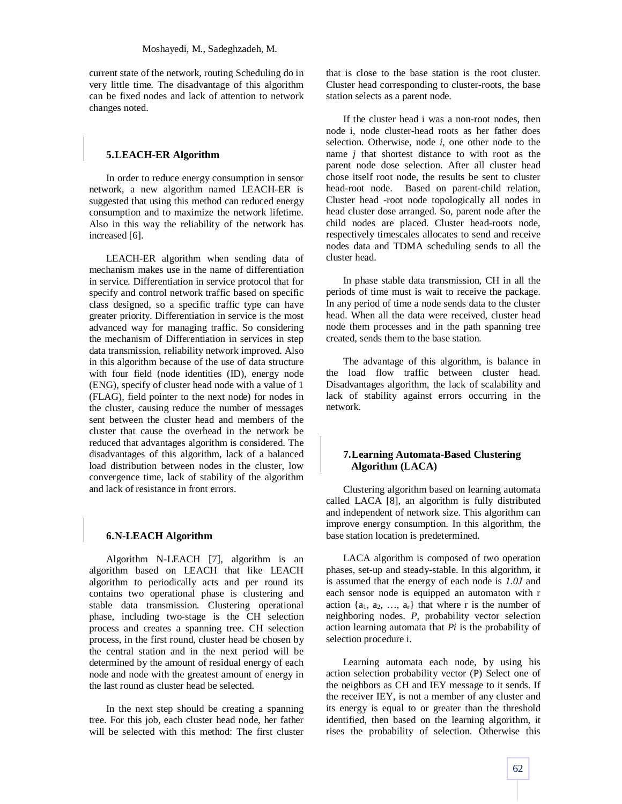current state of the network, routing Scheduling do in very little time. The disadvantage of this algorithm can be fixed nodes and lack of attention to network changes noted.

## **5.LEACH-ER Algorithm**

In order to reduce energy consumption in sensor network, a new algorithm named LEACH-ER is suggested that using this method can reduced energy consumption and to maximize the network lifetime. Also in this way the reliability of the network has increased [6].

LEACH-ER algorithm when sending data of mechanism makes use in the name of differentiation in service. Differentiation in service protocol that for specify and control network traffic based on specific class designed, so a specific traffic type can have greater priority. Differentiation in service is the most advanced way for managing traffic. So considering the mechanism of Differentiation in services in step data transmission, reliability network improved. Also in this algorithm because of the use of data structure with four field (node identities (ID), energy node (ENG), specify of cluster head node with a value of 1 (FLAG), field pointer to the next node) for nodes in the cluster, causing reduce the number of messages sent between the cluster head and members of the cluster that cause the overhead in the network be reduced that advantages algorithm is considered. The disadvantages of this algorithm, lack of a balanced load distribution between nodes in the cluster, low convergence time, lack of stability of the algorithm and lack of resistance in front errors.

# **6.N-LEACH Algorithm**

Algorithm N-LEACH [7], algorithm is an algorithm based on LEACH that like LEACH algorithm to periodically acts and per round its contains two operational phase is clustering and stable data transmission. Clustering operational phase, including two-stage is the CH selection process and creates a spanning tree. CH selection process, in the first round, cluster head be chosen by the central station and in the next period will be determined by the amount of residual energy of each node and node with the greatest amount of energy in the last round as cluster head be selected.

In the next step should be creating a spanning tree. For this job, each cluster head node, her father will be selected with this method: The first cluster

that is close to the base station is the root cluster. Cluster head corresponding to cluster-roots, the base station selects as a parent node.

If the cluster head i was a non-root nodes, then node i, node cluster-head roots as her father does selection. Otherwise, node *i*, one other node to the name *j* that shortest distance to with root as the parent node dose selection. After all cluster head chose itself root node, the results be sent to cluster head-root node. Based on parent-child relation, Cluster head -root node topologically all nodes in head cluster dose arranged. So, parent node after the child nodes are placed. Cluster head-roots node, respectively timescales allocates to send and receive nodes data and TDMA scheduling sends to all the cluster head.

In phase stable data transmission, CH in all the periods of time must is wait to receive the package. In any period of time a node sends data to the cluster head. When all the data were received, cluster head node them processes and in the path spanning tree created, sends them to the base station.

The advantage of this algorithm, is balance in the load flow traffic between cluster head. Disadvantages algorithm, the lack of scalability and lack of stability against errors occurring in the network.

## **7.Learning Automata-Based Clustering Algorithm (LACA)**

Clustering algorithm based on learning automata called LACA [8], an algorithm is fully distributed and independent of network size. This algorithm can improve energy consumption. In this algorithm, the base station location is predetermined.

LACA algorithm is composed of two operation phases, set-up and steady-stable. In this algorithm, it is assumed that the energy of each node is *1.0J* and each sensor node is equipped an automaton with r action  $\{a_1, a_2, \ldots, a_r\}$  that where r is the number of neighboring nodes. *P*, probability vector selection action learning automata that *Pi* is the probability of selection procedure i.

Learning automata each node, by using his action selection probability vector (P) Select one of the neighbors as CH and IEY message to it sends. If the receiver IEY, is not a member of any cluster and its energy is equal to or greater than the threshold identified, then based on the learning algorithm, it rises the probability of selection. Otherwise this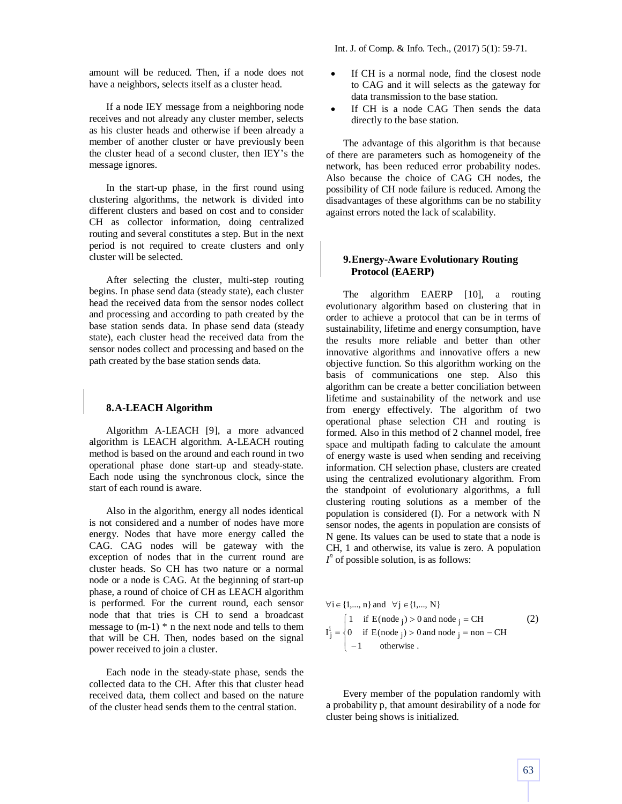Int. J. of Comp. & Info. Tech., (2017) 5(1): 59-71.

amount will be reduced. Then, if a node does not have a neighbors, selects itself as a cluster head.

If a node IEY message from a neighboring node receives and not already any cluster member, selects as his cluster heads and otherwise if been already a member of another cluster or have previously been the cluster head of a second cluster, then IEY's the message ignores.

In the start-up phase, in the first round using clustering algorithms, the network is divided into different clusters and based on cost and to consider CH as collector information, doing centralized routing and several constitutes a step. But in the next period is not required to create clusters and only cluster will be selected.

After selecting the cluster, multi-step routing begins. In phase send data (steady state), each cluster head the received data from the sensor nodes collect and processing and according to path created by the base station sends data. In phase send data (steady state), each cluster head the received data from the sensor nodes collect and processing and based on the path created by the base station sends data.

# **8.A-LEACH Algorithm**

Algorithm A-LEACH [9], a more advanced algorithm is LEACH algorithm. A-LEACH routing method is based on the around and each round in two operational phase done start-up and steady-state. Each node using the synchronous clock, since the start of each round is aware.

Also in the algorithm, energy all nodes identical is not considered and a number of nodes have more energy. Nodes that have more energy called the CAG. CAG nodes will be gateway with the exception of nodes that in the current round are cluster heads. So CH has two nature or a normal node or a node is CAG. At the beginning of start-up phase, a round of choice of CH as LEACH algorithm is performed. For the current round, each sensor node that that tries is CH to send a broadcast message to  $(m-1)$  \* n the next node and tells to them that will be CH. Then, nodes based on the signal power received to join a cluster.

Each node in the steady-state phase, sends the collected data to the CH. After this that cluster head received data, them collect and based on the nature of the cluster head sends them to the central station.

- If CH is a normal node, find the closest node to CAG and it will selects as the gateway for data transmission to the base station.
- If CH is a node CAG Then sends the data directly to the base station.

The advantage of this algorithm is that because of there are parameters such as homogeneity of the network, has been reduced error probability nodes. Also because the choice of CAG CH nodes, the possibility of CH node failure is reduced. Among the disadvantages of these algorithms can be no stability against errors noted the lack of scalability.

# **9.Energy-Aware Evolutionary Routing Protocol (EAERP)**

The algorithm EAERP [10], a routing evolutionary algorithm based on clustering that in order to achieve a protocol that can be in terms of sustainability, lifetime and energy consumption, have the results more reliable and better than other innovative algorithms and innovative offers a new objective function. So this algorithm working on the basis of communications one step. Also this algorithm can be create a better conciliation between lifetime and sustainability of the network and use from energy effectively. The algorithm of two operational phase selection CH and routing is formed. Also in this method of 2 channel model, free space and multipath fading to calculate the amount of energy waste is used when sending and receiving information. CH selection phase, clusters are created using the centralized evolutionary algorithm. From the standpoint of evolutionary algorithms, a full clustering routing solutions as a member of the population is considered (I). For a network with N sensor nodes, the agents in population are consists of N gene. Its values can be used to state that a node is CH, 1 and otherwise, its value is zero. A population  $I<sup>n</sup>$  of possible solution, is as follows:

$$
\forall i \in \{1, ..., n\} \text{ and } \forall j \in \{1, ..., N\}
$$
  
\n
$$
I_j^i = \begin{cases} 1 & \text{if } E(\text{node } j) > 0 \text{ and node } j = \text{CH} \\ 0 & \text{if } E(\text{node } j) > 0 \text{ and node } j = \text{non } -\text{CH} \\ -1 & \text{otherwise.} \end{cases}
$$
 (2)

Every member of the population randomly with a probability p, that amount desirability of a node for cluster being shows is initialized.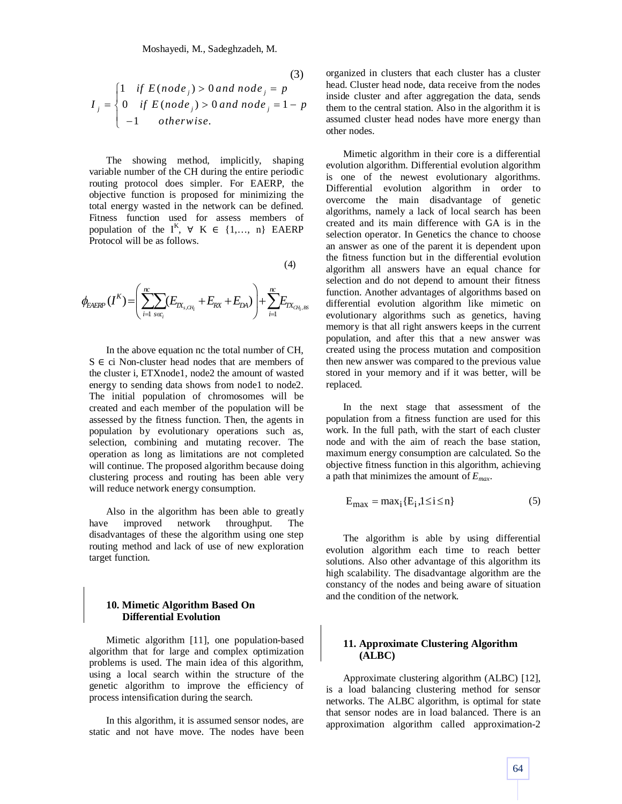(3)  
\n
$$
I_j = \begin{cases}\n1 & \text{if } E(node_j) > 0 \text{ and node}_j = p \\
0 & \text{if } E(node_j) > 0 \text{ and node}_j = 1 - p \\
-1 & \text{otherwise.} \n\end{cases}
$$

The showing method, implicitly, shaping variable number of the CH during the entire periodic routing protocol does simpler. For EAERP, the objective function is proposed for minimizing the total energy wasted in the network can be defined. Fitness function used for assess members of population of the  $I^K$ ,  $\forall$  K  $\in$  {1,..., n} EAERP Protocol will be as follows.

$$
(4)
$$

$$
\phi_{EAERP}(I^K) = \left(\sum_{i=1}^{nc} \sum_{S \in C_i} (E_{IX_{s,CH_i}} + E_{RX} + E_{DA})\right) + \sum_{i=1}^{nc} E_{IX_{CH_i,BS}}
$$

In the above equation nc the total number of CH,  $S \in$  ci Non-cluster head nodes that are members of the cluster i, ETXnode1, node2 the amount of wasted energy to sending data shows from node1 to node2. The initial population of chromosomes will be created and each member of the population will be assessed by the fitness function. Then, the agents in population by evolutionary operations such as, selection, combining and mutating recover. The operation as long as limitations are not completed will continue. The proposed algorithm because doing clustering process and routing has been able very will reduce network energy consumption.

Also in the algorithm has been able to greatly have improved network throughput. The disadvantages of these the algorithm using one step routing method and lack of use of new exploration target function.

# **10. Mimetic Algorithm Based On Differential Evolution**

Mimetic algorithm [11], one population-based algorithm that for large and complex optimization problems is used. The main idea of this algorithm, using a local search within the structure of the genetic algorithm to improve the efficiency of process intensification during the search.

In this algorithm, it is assumed sensor nodes, are static and not have move. The nodes have been organized in clusters that each cluster has a cluster head. Cluster head node, data receive from the nodes inside cluster and after aggregation the data, sends them to the central station. Also in the algorithm it is assumed cluster head nodes have more energy than other nodes.

Mimetic algorithm in their core is a differential evolution algorithm. Differential evolution algorithm is one of the newest evolutionary algorithms. Differential evolution algorithm in order to overcome the main disadvantage of genetic algorithms, namely a lack of local search has been created and its main difference with GA is in the selection operator. In Genetics the chance to choose an answer as one of the parent it is dependent upon the fitness function but in the differential evolution algorithm all answers have an equal chance for selection and do not depend to amount their fitness function. Another advantages of algorithms based on differential evolution algorithm like mimetic on evolutionary algorithms such as genetics, having memory is that all right answers keeps in the current population, and after this that a new answer was created using the process mutation and composition then new answer was compared to the previous value stored in your memory and if it was better, will be replaced.

In the next stage that assessment of the population from a fitness function are used for this work. In the full path, with the start of each cluster node and with the aim of reach the base station, maximum energy consumption are calculated. So the objective fitness function in this algorithm, achieving a path that minimizes the amount of *Emax*.

$$
E_{\text{max}} = \text{max}_{i} \{ E_i, 1 \le i \le n \}
$$
 (5)

The algorithm is able by using differential evolution algorithm each time to reach better solutions. Also other advantage of this algorithm its high scalability. The disadvantage algorithm are the constancy of the nodes and being aware of situation and the condition of the network.

# **11. Approximate Clustering Algorithm (ALBC)**

Approximate clustering algorithm (ALBC) [12], is a load balancing clustering method for sensor networks. The ALBC algorithm, is optimal for state that sensor nodes are in load balanced. There is an approximation algorithm called approximation-2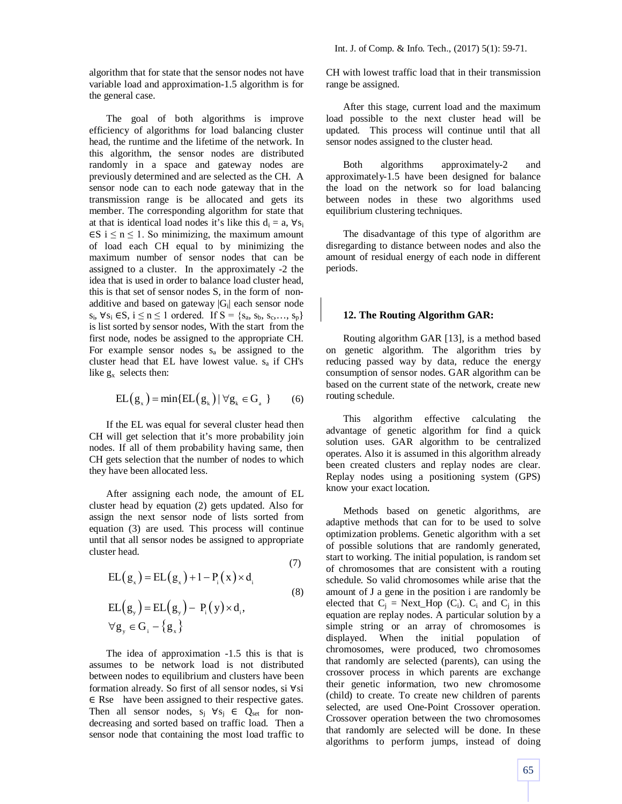algorithm that for state that the sensor nodes not have variable load and approximation-1.5 algorithm is for the general case.

The goal of both algorithms is improve efficiency of algorithms for load balancing cluster head, the runtime and the lifetime of the network. In this algorithm, the sensor nodes are distributed randomly in a space and gateway nodes are previously determined and are selected as the CH. A sensor node can to each node gateway that in the transmission range is be allocated and gets its member. The corresponding algorithm for state that at that is identical load nodes it's like this  $d_i = a$ ,  $\forall s_i$  $\in$ S i  $\leq$  n  $\leq$  1. So minimizing, the maximum amount of load each CH equal to by minimizing the maximum number of sensor nodes that can be assigned to a cluster. In the approximately -2 the idea that is used in order to balance load cluster head, this is that set of sensor nodes S, in the form of nonadditive and based on gateway  $|G_i|$  each sensor node s<sub>i</sub>,  $\forall$ s<sub>i</sub> ∈S, i ≤ n ≤ 1 ordered. If S = {s<sub>a</sub>, s<sub>b</sub>, s<sub>c</sub>,..., s<sub>p</sub>} is list sorted by sensor nodes, With the start from the first node, nodes be assigned to the appropriate CH. For example sensor nodes  $s_a$  be assigned to the cluster head that EL have lowest value. s<sup>a</sup> if CH's like  $g_x$  selects then:

$$
EL(g_x) = min\{EL(g_x) | \forall g_k \in G_a \}
$$
 (6)

If the EL was equal for several cluster head then CH will get selection that it's more probability join nodes. If all of them probability having same, then CH gets selection that the number of nodes to which they have been allocated less.

After assigning each node, the amount of EL cluster head by equation (2) gets updated. Also for assign the next sensor node of lists sorted from equation (3) are used. This process will continue until that all sensor nodes be assigned to appropriate cluster head.

$$
EL(g_x) = EL(g_x) + 1 - P_i(x) \times d_i
$$
\n
$$
EL(g_y) = EL(g_y) - P_i(y) \times d_i,
$$
\n
$$
\forall g_y \in G_i - \{g_x\}
$$
\n(7)

The idea of approximation -1.5 this is that is assumes to be network load is not distributed between nodes to equilibrium and clusters have been formation already. So first of all sensor nodes, si ∀si ∈ Rse have been assigned to their respective gates. Then all sensor nodes,  $s_i \forall s_j \in Q_{set}$  for nondecreasing and sorted based on traffic load. Then a sensor node that containing the most load traffic to

CH with lowest traffic load that in their transmission range be assigned.

After this stage, current load and the maximum load possible to the next cluster head will be updated. This process will continue until that all sensor nodes assigned to the cluster head.

Both algorithms approximately-2 and approximately-1.5 have been designed for balance the load on the network so for load balancing between nodes in these two algorithms used equilibrium clustering techniques.

The disadvantage of this type of algorithm are disregarding to distance between nodes and also the amount of residual energy of each node in different periods.

## **12. The Routing Algorithm GAR:**

Routing algorithm GAR [13], is a method based on genetic algorithm. The algorithm tries by reducing passed way by data, reduce the energy consumption of sensor nodes. GAR algorithm can be based on the current state of the network, create new routing schedule.

This algorithm effective calculating the advantage of genetic algorithm for find a quick solution uses. GAR algorithm to be centralized operates. Also it is assumed in this algorithm already been created clusters and replay nodes are clear. Replay nodes using a positioning system (GPS) know your exact location.

Methods based on genetic algorithms, are adaptive methods that can for to be used to solve optimization problems. Genetic algorithm with a set of possible solutions that are randomly generated, start to working. The initial population, is random set of chromosomes that are consistent with a routing schedule. So valid chromosomes while arise that the amount of J a gene in the position i are randomly be elected that  $C_j$  = Next\_Hop (C<sub>i</sub>). C<sub>i</sub> and C<sub>j</sub> in this equation are replay nodes. A particular solution by a simple string or an array of chromosomes is displayed. When the initial population of chromosomes, were produced, two chromosomes that randomly are selected (parents), can using the crossover process in which parents are exchange their genetic information, two new chromosome (child) to create. To create new children of parents selected, are used One-Point Crossover operation. Crossover operation between the two chromosomes that randomly are selected will be done. In these algorithms to perform jumps, instead of doing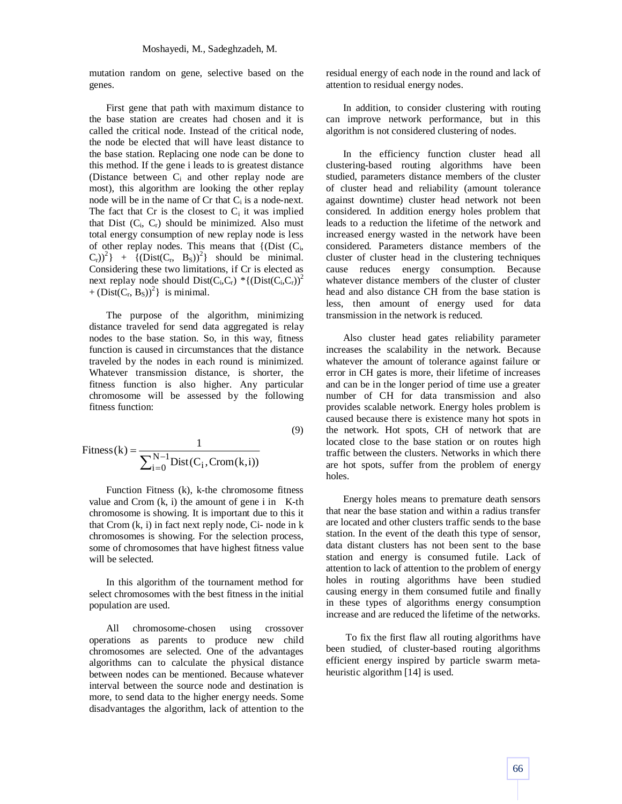mutation random on gene, selective based on the genes.

First gene that path with maximum distance to the base station are creates had chosen and it is called the critical node. Instead of the critical node, the node be elected that will have least distance to the base station. Replacing one node can be done to this method. If the gene i leads to is greatest distance (Distance between C<sup>i</sup> and other replay node are most), this algorithm are looking the other replay node will be in the name of  $Cr$  that  $C_i$  is a node-next. The fact that  $Cr$  is the closest to  $C_i$  it was implied that Dist  $(C_i, C_r)$  should be minimized. Also must total energy consumption of new replay node is less of other replay nodes. This means that  ${CDist}$   $(C_i,$  $(C_r)^2$  + { $(Dist(C_r, B_S))^2$ } should be minimal. Considering these two limitations, if Cr is elected as next replay node should  $Dist(C_i, C_r)$  \*{ $(Dist(C_i, C_r))^2$ +  $(Dist(C_r, B_S))^2$ } is minimal.

The purpose of the algorithm, minimizing distance traveled for send data aggregated is relay nodes to the base station. So, in this way, fitness function is caused in circumstances that the distance traveled by the nodes in each round is minimized. Whatever transmission distance, is shorter, the fitness function is also higher. Any particular chromosome will be assessed by the following fitness function:

$$
Fitness(k) = \frac{1}{\sum_{i=0}^{N-1} Dist(C_i, Crom(k,i))}
$$
\n(9)

Function Fitness (k), k-the chromosome fitness value and Crom  $(k, i)$  the amount of gene i in K-th chromosome is showing. It is important due to this it that  $Crom (k, i)$  in fact next reply node,  $Ci$ - node in  $k$ chromosomes is showing. For the selection process, some of chromosomes that have highest fitness value will be selected.

In this algorithm of the tournament method for select chromosomes with the best fitness in the initial population are used.

All chromosome-chosen using crossover operations as parents to produce new child chromosomes are selected. One of the advantages algorithms can to calculate the physical distance between nodes can be mentioned. Because whatever interval between the source node and destination is more, to send data to the higher energy needs. Some disadvantages the algorithm, lack of attention to the residual energy of each node in the round and lack of attention to residual energy nodes.

In addition, to consider clustering with routing can improve network performance, but in this algorithm is not considered clustering of nodes.

In the efficiency function cluster head all clustering-based routing algorithms have been studied, parameters distance members of the cluster of cluster head and reliability (amount tolerance against downtime) cluster head network not been considered. In addition energy holes problem that leads to a reduction the lifetime of the network and increased energy wasted in the network have been considered. Parameters distance members of the cluster of cluster head in the clustering techniques cause reduces energy consumption. Because whatever distance members of the cluster of cluster head and also distance CH from the base station is less, then amount of energy used for data transmission in the network is reduced.

Also cluster head gates reliability parameter increases the scalability in the network. Because whatever the amount of tolerance against failure or error in CH gates is more, their lifetime of increases and can be in the longer period of time use a greater number of CH for data transmission and also provides scalable network. Energy holes problem is caused because there is existence many hot spots in the network. Hot spots, CH of network that are located close to the base station or on routes high traffic between the clusters. Networks in which there are hot spots, suffer from the problem of energy holes.

Energy holes means to premature death sensors that near the base station and within a radius transfer are located and other clusters traffic sends to the base station. In the event of the death this type of sensor, data distant clusters has not been sent to the base station and energy is consumed futile. Lack of attention to lack of attention to the problem of energy holes in routing algorithms have been studied causing energy in them consumed futile and finally in these types of algorithms energy consumption increase and are reduced the lifetime of the networks.

To fix the first flaw all routing algorithms have been studied, of cluster-based routing algorithms efficient energy inspired by particle swarm metaheuristic algorithm [14] is used.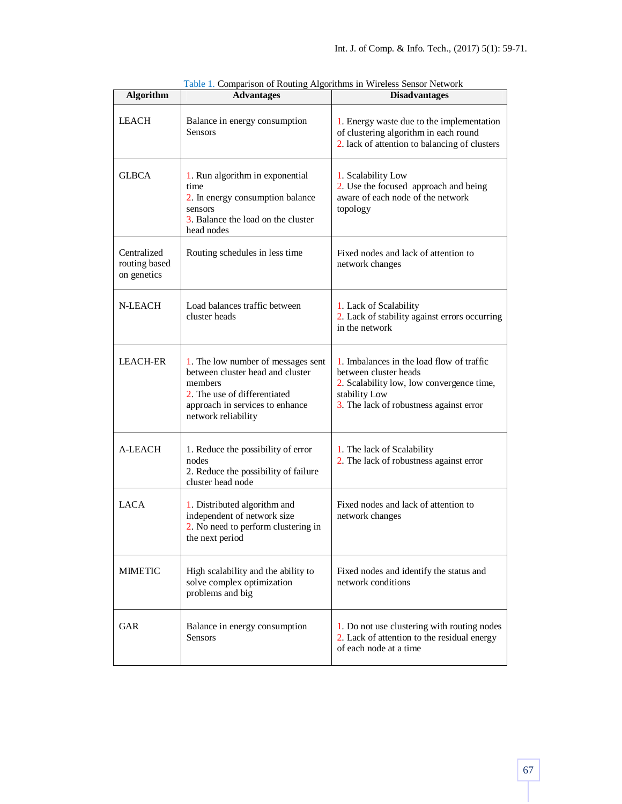| <b>Algorithm</b>                            | <b>Advantages</b>                                                                                                                                                           | <b>Disadvantages</b>                                                                                                                                                        |
|---------------------------------------------|-----------------------------------------------------------------------------------------------------------------------------------------------------------------------------|-----------------------------------------------------------------------------------------------------------------------------------------------------------------------------|
| <b>LEACH</b>                                | Balance in energy consumption<br>Sensors                                                                                                                                    | 1. Energy waste due to the implementation<br>of clustering algorithm in each round<br>2. lack of attention to balancing of clusters                                         |
| <b>GLBCA</b>                                | 1. Run algorithm in exponential<br>time<br>2. In energy consumption balance<br>sensors<br>3. Balance the load on the cluster<br>head nodes                                  | 1. Scalability Low<br>2. Use the focused approach and being<br>aware of each node of the network<br>topology                                                                |
| Centralized<br>routing based<br>on genetics | Routing schedules in less time                                                                                                                                              | Fixed nodes and lack of attention to<br>network changes                                                                                                                     |
| N-LEACH                                     | Load balances traffic between<br>cluster heads                                                                                                                              | 1. Lack of Scalability<br>2. Lack of stability against errors occurring<br>in the network                                                                                   |
| <b>LEACH-ER</b>                             | 1. The low number of messages sent<br>between cluster head and cluster<br>members<br>2. The use of differentiated<br>approach in services to enhance<br>network reliability | 1. Imbalances in the load flow of traffic<br>between cluster heads<br>2. Scalability low, low convergence time,<br>stability Low<br>3. The lack of robustness against error |
| A-LEACH                                     | 1. Reduce the possibility of error<br>nodes<br>2. Reduce the possibility of failure<br>cluster head node                                                                    | 1. The lack of Scalability<br>2. The lack of robustness against error                                                                                                       |
| <b>LACA</b>                                 | 1. Distributed algorithm and<br>independent of network size<br>2. No need to perform clustering in<br>the next period                                                       | Fixed nodes and lack of attention to<br>network changes                                                                                                                     |
| <b>MIMETIC</b>                              | High scalability and the ability to<br>solve complex optimization<br>problems and big                                                                                       | Fixed nodes and identify the status and<br>network conditions                                                                                                               |
| GAR                                         | Balance in energy consumption<br><b>Sensors</b>                                                                                                                             | 1. Do not use clustering with routing nodes<br>2. Lack of attention to the residual energy<br>of each node at a time                                                        |

Table 1. Comparison of Routing Algorithms in Wireless Sensor Network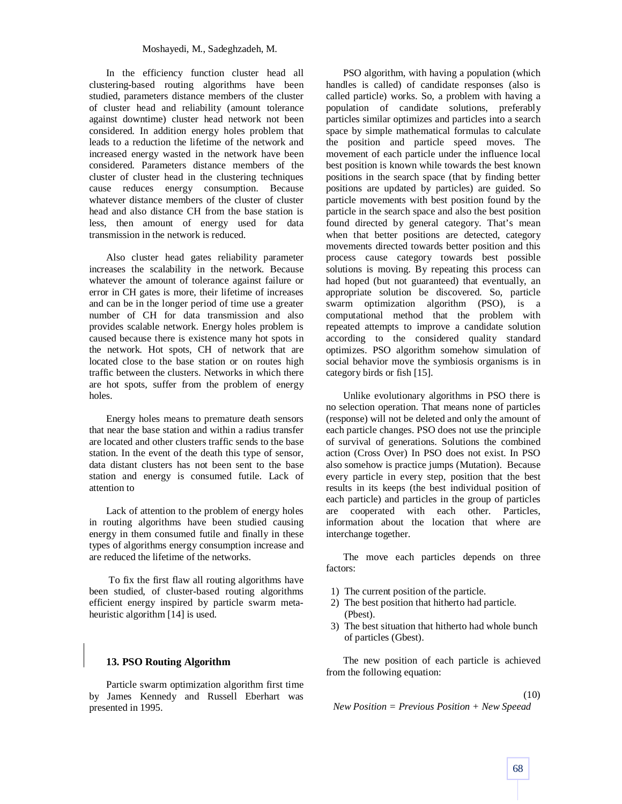In the efficiency function cluster head all clustering-based routing algorithms have been studied, parameters distance members of the cluster of cluster head and reliability (amount tolerance against downtime) cluster head network not been considered. In addition energy holes problem that leads to a reduction the lifetime of the network and increased energy wasted in the network have been considered. Parameters distance members of the cluster of cluster head in the clustering techniques cause reduces energy consumption. Because whatever distance members of the cluster of cluster head and also distance CH from the base station is less, then amount of energy used for data transmission in the network is reduced.

Also cluster head gates reliability parameter increases the scalability in the network. Because whatever the amount of tolerance against failure or error in CH gates is more, their lifetime of increases and can be in the longer period of time use a greater number of CH for data transmission and also provides scalable network. Energy holes problem is caused because there is existence many hot spots in the network. Hot spots, CH of network that are located close to the base station or on routes high traffic between the clusters. Networks in which there are hot spots, suffer from the problem of energy holes.

Energy holes means to premature death sensors that near the base station and within a radius transfer are located and other clusters traffic sends to the base station. In the event of the death this type of sensor, data distant clusters has not been sent to the base station and energy is consumed futile. Lack of attention to

Lack of attention to the problem of energy holes in routing algorithms have been studied causing energy in them consumed futile and finally in these types of algorithms energy consumption increase and are reduced the lifetime of the networks.

To fix the first flaw all routing algorithms have been studied, of cluster-based routing algorithms efficient energy inspired by particle swarm metaheuristic algorithm [14] is used.

## **13. PSO Routing Algorithm**

Particle swarm optimization algorithm first time by James Kennedy and Russell Eberhart was presented in 1995.

PSO algorithm, with having a population (which handles is called) of candidate responses (also is called particle) works. So, a problem with having a population of candidate solutions, preferably particles similar optimizes and particles into a search space by simple mathematical formulas to calculate the position and particle speed moves. The movement of each particle under the influence local best position is known while towards the best known positions in the search space (that by finding better positions are updated by particles) are guided. So particle movements with best position found by the particle in the search space and also the best position found directed by general category. That's mean when that better positions are detected, category movements directed towards better position and this process cause category towards best possible solutions is moving. By repeating this process can had hoped (but not guaranteed) that eventually, an appropriate solution be discovered. So, particle swarm optimization algorithm (PSO), is a computational method that the problem with repeated attempts to improve a candidate solution according to the considered quality standard optimizes. PSO algorithm somehow simulation of social behavior move the symbiosis organisms is in category birds or fish [15].

Unlike evolutionary algorithms in PSO there is no selection operation. That means none of particles (response) will not be deleted and only the amount of each particle changes. PSO does not use the principle of survival of generations. Solutions the combined action (Cross Over) In PSO does not exist. In PSO also somehow is practice jumps (Mutation). Because every particle in every step, position that the best results in its keeps (the best individual position of each particle) and particles in the group of particles are cooperated with each other. Particles, information about the location that where are interchange together.

The move each particles depends on three factors:

- 1) The current position of the particle.
- 2) The best position that hitherto had particle. (Pbest).
- 3) The best situation that hitherto had whole bunch of particles (Gbest).

The new position of each particle is achieved from the following equation:

(10)

$$
New Position = Previous Position + New Speed
$$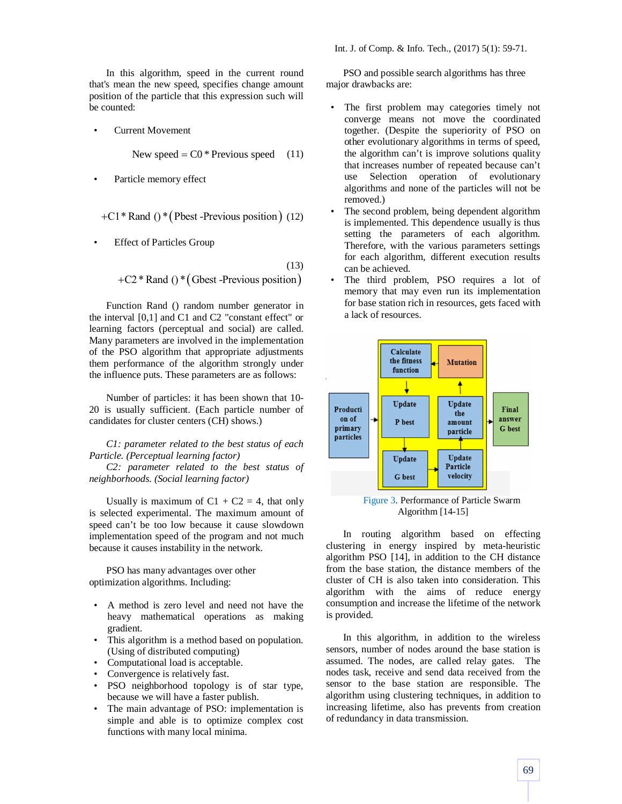In this algorithm, speed in the current round that's mean the new speed, specifies change amount position of the particle that this expression such will be counted:

• Current Movement

New speed  $=$  C0  $*$  Previous speed (11)

Particle memory effect

$$
+C1*
$$
 Rand () \* (Pbest -Previous position) (12)

**Effect of Particles Group** 

(13)  $+C2*$  Rand ()  $*(Gbest$  -Previous position)

Function Rand () random number generator in the interval [0,1] and C1 and C2 "constant effect" or learning factors (perceptual and social) are called. Many parameters are involved in the implementation of the PSO algorithm that appropriate adjustments them performance of the algorithm strongly under the influence puts. These parameters are as follows:

Number of particles: it has been shown that 10- 20 is usually sufficient. (Each particle number of candidates for cluster centers (CH) shows.)

*C1: parameter related to the best status of each Particle. (Perceptual learning factor)* 

*C2: parameter related to the best status of neighborhoods. (Social learning factor)*

Usually is maximum of  $C1 + C2 = 4$ , that only is selected experimental. The maximum amount of speed can't be too low because it cause slowdown implementation speed of the program and not much because it causes instability in the network.

PSO has many advantages over other optimization algorithms. Including:

- A method is zero level and need not have the heavy mathematical operations as making gradient.
- This algorithm is a method based on population. (Using of distributed computing)
- Computational load is acceptable.
- Convergence is relatively fast.
- PSO neighborhood topology is of star type, because we will have a faster publish.
- The main advantage of PSO: implementation is simple and able is to optimize complex cost functions with many local minima.

Int. J. of Comp. & Info. Tech., (2017) 5(1): 59-71.

PSO and possible search algorithms has three major drawbacks are:

- The first problem may categories timely not converge means not move the coordinated together. (Despite the superiority of PSO on other evolutionary algorithms in terms of speed, the algorithm can't is improve solutions quality that increases number of repeated because can't use Selection operation of evolutionary algorithms and none of the particles will not be removed.)
- The second problem, being dependent algorithm is implemented. This dependence usually is thus setting the parameters of each algorithm. Therefore, with the various parameters settings for each algorithm, different execution results can be achieved.
- The third problem, PSO requires a lot of memory that may even run its implementation for base station rich in resources, gets faced with a lack of resources.



Algorithm [14-15]

In routing algorithm based on effecting clustering in energy inspired by meta-heuristic algorithm PSO [14], in addition to the CH distance from the base station, the distance members of the cluster of CH is also taken into consideration. This algorithm with the aims of reduce energy consumption and increase the lifetime of the network is provided.

In this algorithm, in addition to the wireless sensors, number of nodes around the base station is assumed. The nodes, are called relay gates. The nodes task, receive and send data received from the sensor to the base station are responsible. The algorithm using clustering techniques, in addition to increasing lifetime, also has prevents from creation of redundancy in data transmission.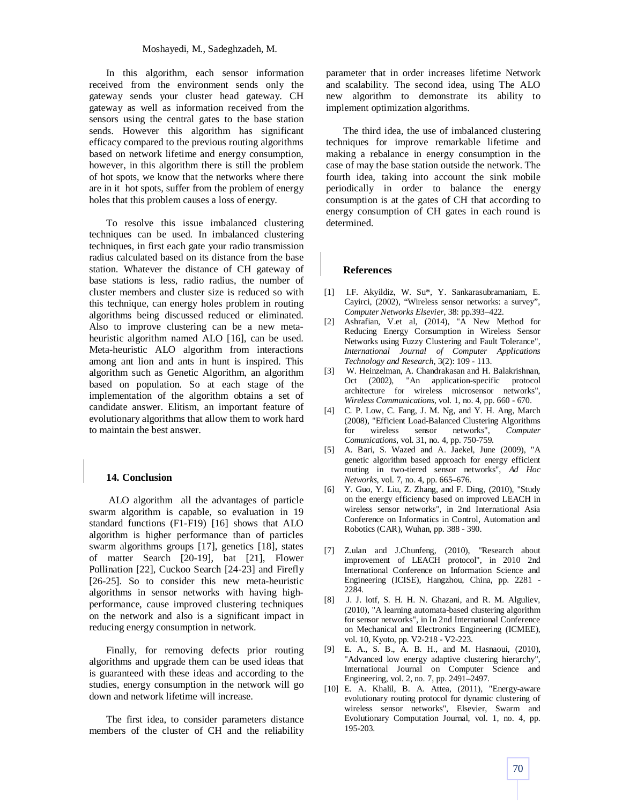In this algorithm, each sensor information received from the environment sends only the gateway sends your cluster head gateway. CH gateway as well as information received from the sensors using the central gates to the base station sends. However this algorithm has significant efficacy compared to the previous routing algorithms based on network lifetime and energy consumption, however, in this algorithm there is still the problem of hot spots, we know that the networks where there are in it hot spots, suffer from the problem of energy holes that this problem causes a loss of energy.

To resolve this issue imbalanced clustering techniques can be used. In imbalanced clustering techniques, in first each gate your radio transmission radius calculated based on its distance from the base station. Whatever the distance of CH gateway of base stations is less, radio radius, the number of cluster members and cluster size is reduced so with this technique, can energy holes problem in routing algorithms being discussed reduced or eliminated. Also to improve clustering can be a new metaheuristic algorithm named ALO [16], can be used. Meta-heuristic ALO algorithm from interactions among ant lion and ants in hunt is inspired. This algorithm such as Genetic Algorithm, an algorithm based on population. So at each stage of the implementation of the algorithm obtains a set of candidate answer. Elitism, an important feature of evolutionary algorithms that allow them to work hard to maintain the best answer.

## **14. Conclusion**

ALO algorithm all the advantages of particle swarm algorithm is capable, so evaluation in 19 standard functions (F1-F19) [16] shows that ALO algorithm is higher performance than of particles swarm algorithms groups [17], genetics [18], states of matter Search [20-19], bat [21], Flower Pollination [22], Cuckoo Search [24-23] and Firefly [26-25]. So to consider this new meta-heuristic algorithms in sensor networks with having highperformance, cause improved clustering techniques on the network and also is a significant impact in reducing energy consumption in network.

Finally, for removing defects prior routing algorithms and upgrade them can be used ideas that is guaranteed with these ideas and according to the studies, energy consumption in the network will go down and network lifetime will increase.

The first idea, to consider parameters distance members of the cluster of CH and the reliability parameter that in order increases lifetime Network and scalability. The second idea, using The ALO new algorithm to demonstrate its ability to implement optimization algorithms.

The third idea, the use of imbalanced clustering techniques for improve remarkable lifetime and making a rebalance in energy consumption in the case of may the base station outside the network. The fourth idea, taking into account the sink mobile periodically in order to balance the energy consumption is at the gates of CH that according to energy consumption of CH gates in each round is determined.

### **References**

- [1] I.F. Akyildiz, W. Su\*, Y. Sankarasubramaniam, E. Cayirci, (2002), "Wireless sensor networks: a survey", *Computer Networks Elsevier*, 38: pp.393–422.
- [2] Ashrafian, V.et al, (2014), "A New Method for Reducing Energy Consumption in Wireless Sensor Networks using Fuzzy Clustering and Fault Tolerance", *International Journal of Computer Applications Technology and Research,* 3(2): 109 - 113.
- [3] W. Heinzelman, A. Chandrakasan and H. Balakrishnan, Oct (2002), "An application-specific protocol architecture for wireless microsensor networks", *Wireless Communications*, vol. 1, no. 4, pp. 660 - 670.
- [4] C. P. Low, C. Fang, J. M. Ng, and Y. H. Ang, March (2008), "Efficient Load-Balanced Clustering Algorithms for wireless sensor networks", *Computer Comunications*, vol. 31, no. 4, pp. 750-759.
- [5] A. Bari, S. Wazed and A. Jaekel, June (2009), "A genetic algorithm based approach for energy efficient routing in two-tiered sensor networks", *Ad Hoc Networks*, vol. 7, no. 4, pp. 665–676.
- [6] Y. Guo, Y. Liu, Z. Zhang, and F. Ding, (2010), "Study on the energy efficiency based on improved LEACH in wireless sensor networks", in 2nd International Asia Conference on Informatics in Control, Automation and Robotics (CAR), Wuhan, pp. 388 - 390.
- [7] Z.ulan and J.Chunfeng, (2010), "Research about improvement of LEACH protocol", in 2010 2nd International Conference on Information Science and Engineering (ICISE), Hangzhou, China, pp. 2281 - 2284.
- [8] J. J. lotf, S. H. H. N. Ghazani, and R. M. Alguliev, (2010), "A learning automata-based clustering algorithm for sensor networks", in In 2nd International Conference on Mechanical and Electronics Engineering (ICMEE), vol. 10, Kyoto, pp. V2-218 - V2-223.
- [9] E. A., S. B., A. B. H., and M. Hasnaoui, (2010), "Advanced low energy adaptive clustering hierarchy", International Journal on Computer Science and Engineering, vol. 2, no. 7, pp. 2491–2497.
- [10] E. A. Khalil, B. A. Attea, (2011), "Energy-aware evolutionary routing protocol for dynamic clustering of wireless sensor networks", Elsevier, Swarm and Evolutionary Computation Journal, vol. 1, no. 4, pp. 195-203.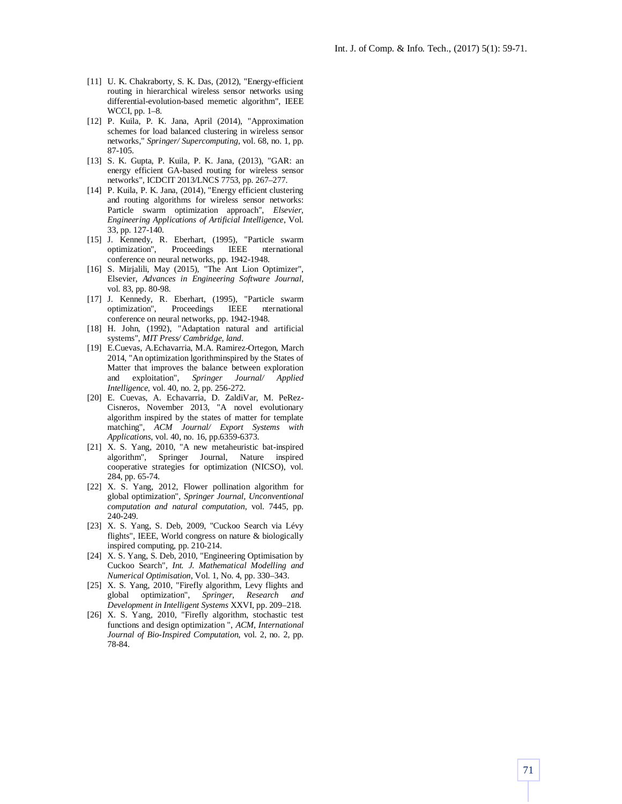- [11] U. K. Chakraborty, S. K. Das, (2012), "Energy-efficient routing in hierarchical wireless sensor networks using differential-evolution-based memetic algorithm", IEEE WCCI, pp. 1–8.
- [12] P. Kuila, P. K. Jana, April (2014), "Approximation schemes for load balanced clustering in wireless sensor networks," *Springer/ Supercomputing*, vol. 68, no. 1, pp. 87-105.
- [13] S. K. Gupta, P. Kuila, P. K. Jana, (2013), "GAR: an energy efficient GA-based routing for wireless sensor networks", ICDCIT 2013/LNCS 7753, pp. 267–277.
- [14] P. Kuila, P. K. Jana, (2014), "Energy efficient clustering and routing algorithms for wireless sensor networks: Particle swarm optimization approach", *Elsevier, Engineering Applications of Artificial Intelligence*, Vol. 33, pp. 127-140.
- [15] J. Kennedy, R. Eberhart, (1995), "Particle swarm optimization", Proceedings IEEE nternational conference on neural networks, pp. 1942-1948.
- [16] S. Mirjalili, May (2015), "The Ant Lion Optimizer", Elsevier, *Advances in Engineering Software Journal*, vol. 83, pp. 80-98.
- [17] J. Kennedy, R. Eberhart, (1995), "Particle swarm optimization", Proceedings IEEE nternational conference on neural networks, pp. 1942-1948.
- [18] H. John, (1992), "Adaptation natural and artificial systems", *MIT Press/ Cambridge, land*.
- [19] E.Cuevas, A.Echavarria, M.A. Ramirez-Ortegon, March 2014, "An optimization lgorithminspired by the States of Matter that improves the balance between exploration and exploitation", *Springer Journal/ Applied Intelligence*, vol. 40, no. 2, pp. 256-272.
- [20] E. Cuevas, A. Echavarria, D. ZaldiVar, M. PeRez-Cisneros, November 2013, "A novel evolutionary algorithm inspired by the states of matter for template matching", *ACM Journal/ Export Systems with Applications*, vol. 40, no. 16, pp.6359-6373.
- [21] X. S. Yang, 2010, "A new metaheuristic bat-inspired algorithm", Springer Journal, Nature inspired cooperative strategies for optimization (NICSO), vol. 284, pp. 65-74.
- [22] X. S. Yang, 2012, Flower pollination algorithm for global optimization", *Springer Journal, Unconventional computation and natural computation*, vol. 7445, pp. 240-249.
- [23] X. S. Yang, S. Deb, 2009, "Cuckoo Search via Lévy flights", IEEE, World congress on nature & biologically inspired computing, pp. 210-214.
- [24] X. S. Yang, S. Deb, 2010, "Engineering Optimisation by Cuckoo Search", *Int. J. Mathematical Modelling and Numerical Optimisation*, Vol. 1, No. 4, pp. 330–343.
- [25] X. S. Yang, 2010, "Firefly algorithm, Levy flights and global optimization", *Springer, Research and Development in Intelligent Systems* XXVI, pp. 209–218.
- [26] X. S. Yang, 2010, "Firefly algorithm, stochastic test functions and design optimization ", *ACM, International Journal of Bio-Inspired Computation*, vol. 2, no. 2, pp. 78-84.